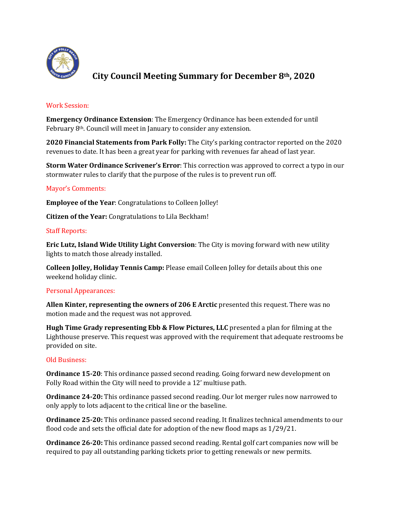

# **City Council Meeting Summary for December 8th, 2020**

## Work Session:

**Emergency Ordinance Extension**: The Emergency Ordinance has been extended for until February 8th. Council will meet in January to consider any extension.

**2020 Financial Statements from Park Folly:** The City's parking contractor reported on the 2020 revenues to date. It has been a great year for parking with revenues far ahead of last year.

**Storm Water Ordinance Scrivener's Error**: This correction was approved to correct a typo in our stormwater rules to clarify that the purpose of the rules is to prevent run off.

## Mayor's Comments:

**Employee of the Year**: Congratulations to Colleen Jolley!

**Citizen of the Year:** Congratulations to Lila Beckham!

## Staff Reports:

**Eric Lutz, Island Wide Utility Light Conversion**: The City is moving forward with new utility lights to match those already installed.

**Colleen Jolley, Holiday Tennis Camp:** Please email Colleen Jolley for details about this one weekend holiday clinic.

### Personal Appearances:

**Allen Kinter, representing the owners of 206 E Arctic** presented this request. There was no motion made and the request was not approved.

**Hugh Time Grady representing Ebb & Flow Pictures, LLC** presented a plan for filming at the Lighthouse preserve. This request was approved with the requirement that adequate restrooms be provided on site.

### Old Business:

**Ordinance 15-20**: This ordinance passed second reading. Going forward new development on Folly Road within the City will need to provide a 12' multiuse path.

**Ordinance 24-20:** This ordinance passed second reading. Our lot merger rules now narrowed to only apply to lots adjacent to the critical line or the baseline.

**Ordinance 25-20:** This ordinance passed second reading. It finalizes technical amendments to our flood code and sets the official date for adoption of the new flood maps as 1/29/21.

**Ordinance 26-20:** This ordinance passed second reading. Rental golf cart companies now will be required to pay all outstanding parking tickets prior to getting renewals or new permits.